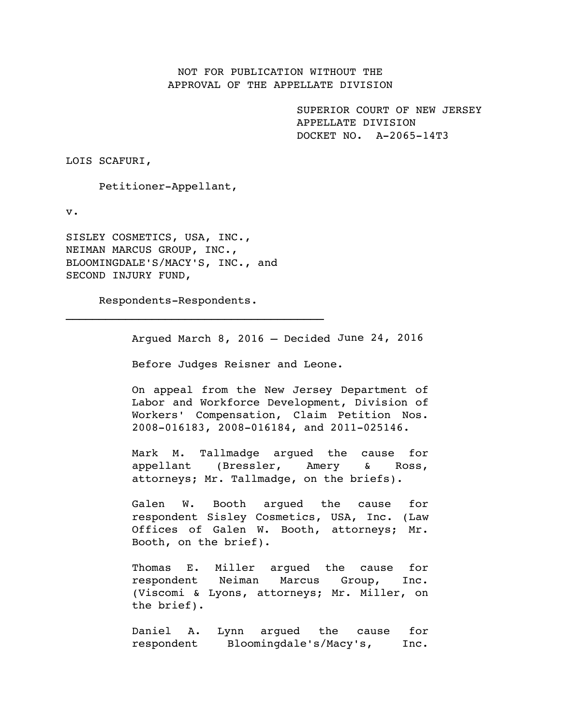## NOT FOR PUBLICATION WITHOUT THE APPROVAL OF THE APPELLATE DIVISION

SUPERIOR COURT OF NEW JERSEY APPELLATE DIVISION DOCKET NO. A-2065-14T3

LOIS SCAFURI,

Petitioner-Appellant,

v.

SISLEY COSMETICS, USA, INC., NEIMAN MARCUS GROUP, INC., BLOOMINGDALE'S/MACY'S, INC., and SECOND INJURY FUND,

Respondents-Respondents.

 $\mathcal{L}_\text{max}$  and  $\mathcal{L}_\text{max}$  and  $\mathcal{L}_\text{max}$ 

Argued March 8, 2016 – Decided June 24, 2016

Before Judges Reisner and Leone.

On appeal from the New Jersey Department of Labor and Workforce Development, Division of Workers' Compensation, Claim Petition Nos. 2008-016183, 2008-016184, and 2011-025146.

Mark M. Tallmadge argued the cause for appellant (Bressler, Amery & Ross, attorneys; Mr. Tallmadge, on the briefs).

Galen W. Booth argued the cause for respondent Sisley Cosmetics, USA, Inc. (Law Offices of Galen W. Booth, attorneys; Mr. Booth, on the brief).

Thomas E. Miller argued the cause for respondent Neiman Marcus Group, Inc. (Viscomi & Lyons, attorneys; Mr. Miller, on the brief).

Daniel A. Lynn argued the cause for respondent Bloomingdale's/Macy's, Inc.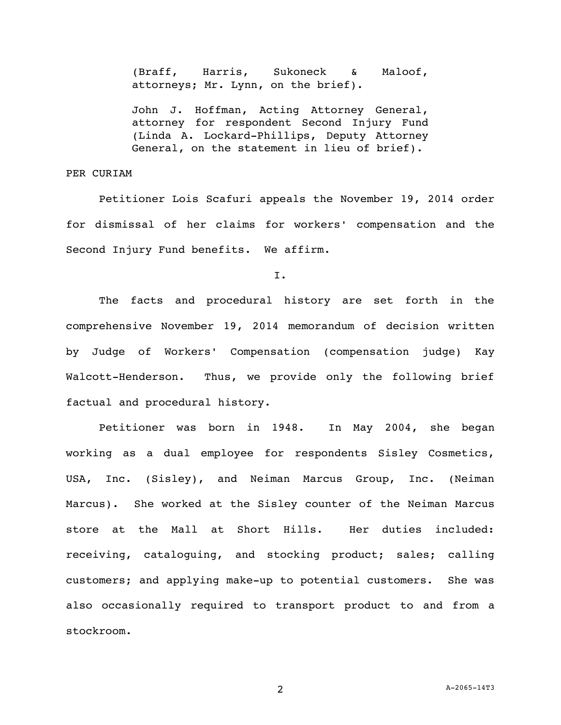(Braff, Harris, Sukoneck & Maloof, attorneys; Mr. Lynn, on the brief).

John J. Hoffman, Acting Attorney General, attorney for respondent Second Injury Fund (Linda A. Lockard-Phillips, Deputy Attorney General, on the statement in lieu of brief).

### PER CURIAM

Petitioner Lois Scafuri appeals the November 19, 2014 order for dismissal of her claims for workers' compensation and the Second Injury Fund benefits. We affirm.

I.

The facts and procedural history are set forth in the comprehensive November 19, 2014 memorandum of decision written by Judge of Workers' Compensation (compensation judge) Kay Walcott-Henderson. Thus, we provide only the following brief factual and procedural history.

Petitioner was born in 1948. In May 2004, she began working as a dual employee for respondents Sisley Cosmetics, USA, Inc. (Sisley), and Neiman Marcus Group, Inc. (Neiman Marcus). She worked at the Sisley counter of the Neiman Marcus store at the Mall at Short Hills. Her duties included: receiving, cataloguing, and stocking product; sales; calling customers; and applying make-up to potential customers. She was also occasionally required to transport product to and from a stockroom.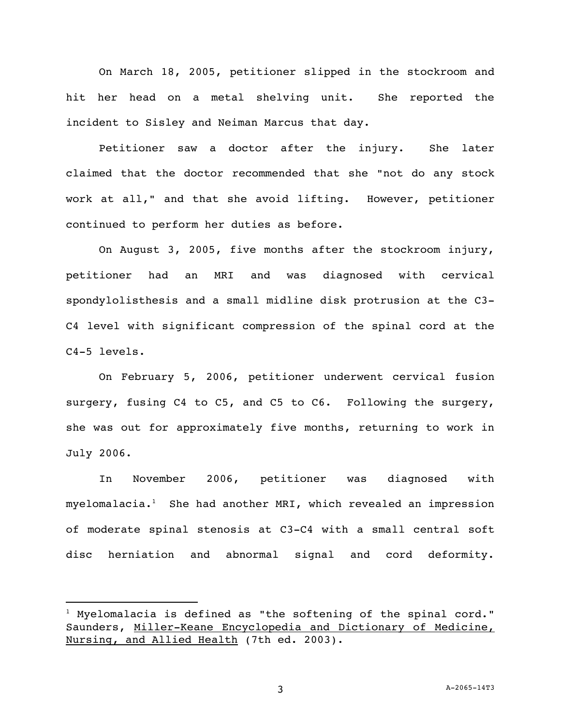On March 18, 2005, petitioner slipped in the stockroom and hit her head on a metal shelving unit. She reported the incident to Sisley and Neiman Marcus that day.

Petitioner saw a doctor after the injury. She later claimed that the doctor recommended that she "not do any stock work at all," and that she avoid lifting. However, petitioner continued to perform her duties as before.

On August 3, 2005, five months after the stockroom injury, petitioner had an MRI and was diagnosed with cervical spondylolisthesis and a small midline disk protrusion at the C3- C4 level with significant compression of the spinal cord at the C4-5 levels.

On February 5, 2006, petitioner underwent cervical fusion surgery, fusing C4 to C5, and C5 to C6. Following the surgery, she was out for approximately five months, returning to work in July 2006.

In November 2006, petitioner was diagnosed with  $myelomalacia.<sup>1</sup>$  She had another MRI, which revealed an impression of moderate spinal stenosis at C3-C4 with a small central soft disc herniation and abnormal signal and cord deformity.

i<br>L

 $1$  Myelomalacia is defined as "the softening of the spinal cord." Saunders, Miller-Keane Encyclopedia and Dictionary of Medicine, Nursing, and Allied Health (7th ed. 2003).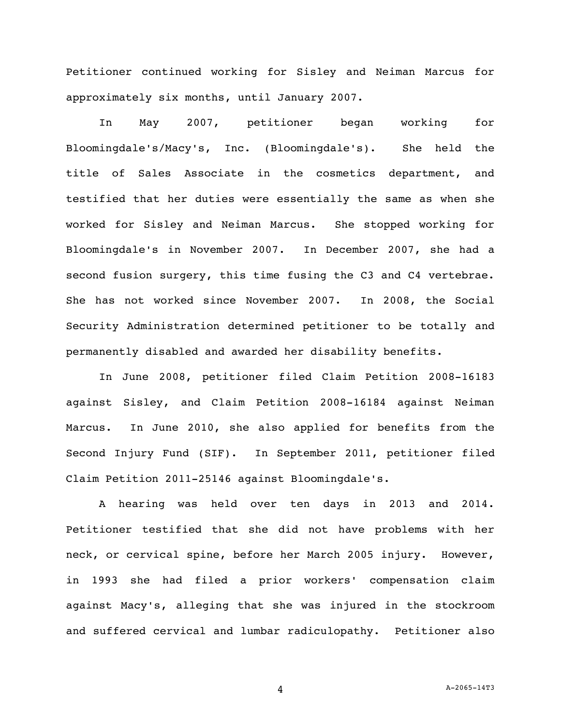Petitioner continued working for Sisley and Neiman Marcus for approximately six months, until January 2007.

In May 2007, petitioner began working for Bloomingdale's/Macy's, Inc. (Bloomingdale's). She held the title of Sales Associate in the cosmetics department, and testified that her duties were essentially the same as when she worked for Sisley and Neiman Marcus. She stopped working for Bloomingdale's in November 2007. In December 2007, she had a second fusion surgery, this time fusing the C3 and C4 vertebrae. She has not worked since November 2007. In 2008, the Social Security Administration determined petitioner to be totally and permanently disabled and awarded her disability benefits.

In June 2008, petitioner filed Claim Petition 2008-16183 against Sisley, and Claim Petition 2008-16184 against Neiman Marcus. In June 2010, she also applied for benefits from the Second Injury Fund (SIF). In September 2011, petitioner filed Claim Petition 2011-25146 against Bloomingdale's.

A hearing was held over ten days in 2013 and 2014. Petitioner testified that she did not have problems with her neck, or cervical spine, before her March 2005 injury. However, in 1993 she had filed a prior workers' compensation claim against Macy's, alleging that she was injured in the stockroom and suffered cervical and lumbar radiculopathy. Petitioner also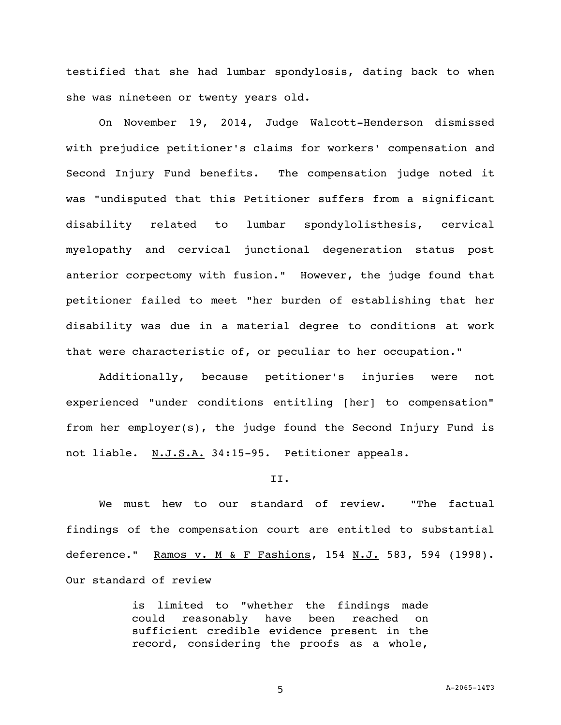testified that she had lumbar spondylosis, dating back to when she was nineteen or twenty years old.

On November 19, 2014, Judge Walcott-Henderson dismissed with prejudice petitioner's claims for workers' compensation and Second Injury Fund benefits. The compensation judge noted it was "undisputed that this Petitioner suffers from a significant disability related to lumbar spondylolisthesis, cervical myelopathy and cervical junctional degeneration status post anterior corpectomy with fusion." However, the judge found that petitioner failed to meet "her burden of establishing that her disability was due in a material degree to conditions at work that were characteristic of, or peculiar to her occupation."

Additionally, because petitioner's injuries were not experienced "under conditions entitling [her] to compensation" from her employer(s), the judge found the Second Injury Fund is not liable. N.J.S.A. 34:15-95. Petitioner appeals.

#### II.

We must hew to our standard of review. "The factual findings of the compensation court are entitled to substantial deference." Ramos v. M & F Fashions, 154 N.J. 583, 594 (1998). Our standard of review

> is limited to "whether the findings made could reasonably have been reached on sufficient credible evidence present in the record, considering the proofs as a whole,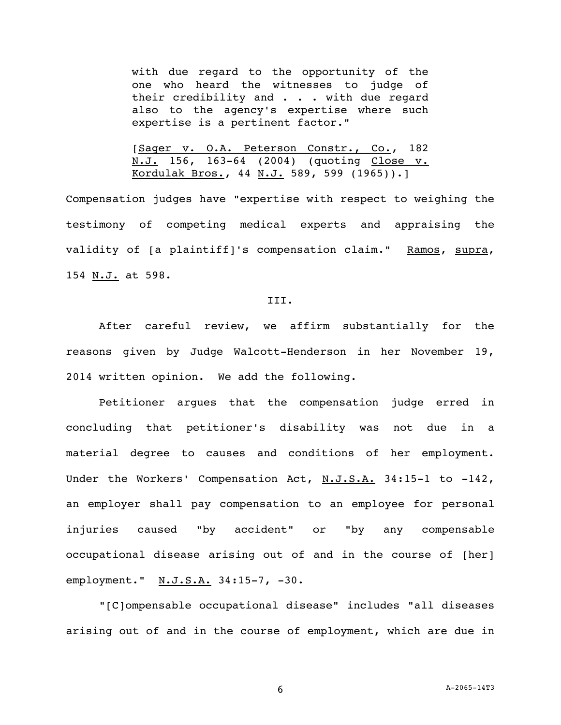with due regard to the opportunity of the one who heard the witnesses to judge of their credibility and . . . with due regard also to the agency's expertise where such expertise is a pertinent factor."

[Sager v. O.A. Peterson Constr., Co., 182 N.J. 156, 163-64 (2004) (quoting Close v. Kordulak Bros., 44 N.J. 589, 599 (1965)).]

Compensation judges have "expertise with respect to weighing the testimony of competing medical experts and appraising the validity of [a plaintiff]'s compensation claim." Ramos, supra, 154 N.J. at 598.

#### III.

After careful review, we affirm substantially for the reasons given by Judge Walcott-Henderson in her November 19, 2014 written opinion. We add the following.

Petitioner argues that the compensation judge erred in concluding that petitioner's disability was not due in a material degree to causes and conditions of her employment. Under the Workers' Compensation Act, N.J.S.A. 34:15-1 to -142, an employer shall pay compensation to an employee for personal injuries caused "by accident" or "by any compensable occupational disease arising out of and in the course of [her] employment." N.J.S.A. 34:15-7, -30.

"[C]ompensable occupational disease" includes "all diseases arising out of and in the course of employment, which are due in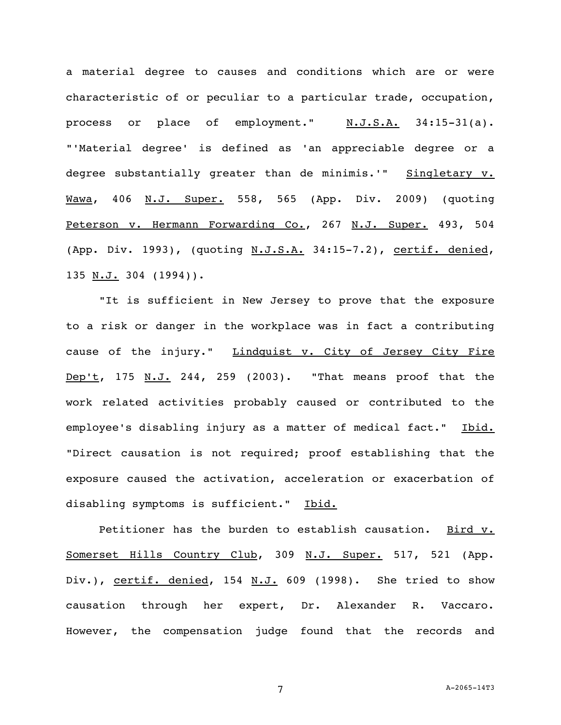a material degree to causes and conditions which are or were characteristic of or peculiar to a particular trade, occupation, process or place of employment." N.J.S.A. 34:15-31(a). "'Material degree' is defined as 'an appreciable degree or a degree substantially greater than de minimis.'" Singletary v. Wawa, 406 N.J. Super. 558, 565 (App. Div. 2009) (quoting Peterson v. Hermann Forwarding Co., 267 N.J. Super. 493, 504 (App. Div. 1993), (quoting N.J.S.A. 34:15-7.2), certif. denied, 135 N.J. 304 (1994)).

"It is sufficient in New Jersey to prove that the exposure to a risk or danger in the workplace was in fact a contributing cause of the injury." Lindquist v. City of Jersey City Fire Dep't, 175 N.J. 244, 259 (2003). "That means proof that the work related activities probably caused or contributed to the employee's disabling injury as a matter of medical fact." Ibid. "Direct causation is not required; proof establishing that the exposure caused the activation, acceleration or exacerbation of disabling symptoms is sufficient." Ibid.

Petitioner has the burden to establish causation. Bird v. Somerset Hills Country Club, 309 N.J. Super. 517, 521 (App. Div.), certif. denied, 154 N.J. 609 (1998). She tried to show causation through her expert, Dr. Alexander R. Vaccaro. However, the compensation judge found that the records and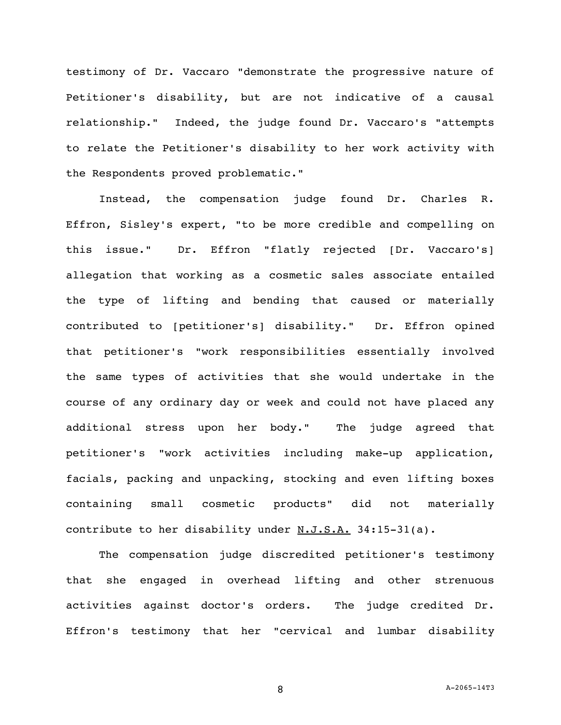testimony of Dr. Vaccaro "demonstrate the progressive nature of Petitioner's disability, but are not indicative of a causal relationship." Indeed, the judge found Dr. Vaccaro's "attempts to relate the Petitioner's disability to her work activity with the Respondents proved problematic."

Instead, the compensation judge found Dr. Charles R. Effron, Sisley's expert, "to be more credible and compelling on this issue." Dr. Effron "flatly rejected [Dr. Vaccaro's] allegation that working as a cosmetic sales associate entailed the type of lifting and bending that caused or materially contributed to [petitioner's] disability." Dr. Effron opined that petitioner's "work responsibilities essentially involved the same types of activities that she would undertake in the course of any ordinary day or week and could not have placed any additional stress upon her body." The judge agreed that petitioner's "work activities including make-up application, facials, packing and unpacking, stocking and even lifting boxes containing small cosmetic products" did not materially contribute to her disability under N.J.S.A. 34:15-31(a).

The compensation judge discredited petitioner's testimony that she engaged in overhead lifting and other strenuous activities against doctor's orders. The judge credited Dr. Effron's testimony that her "cervical and lumbar disability

8 A-2065-14T3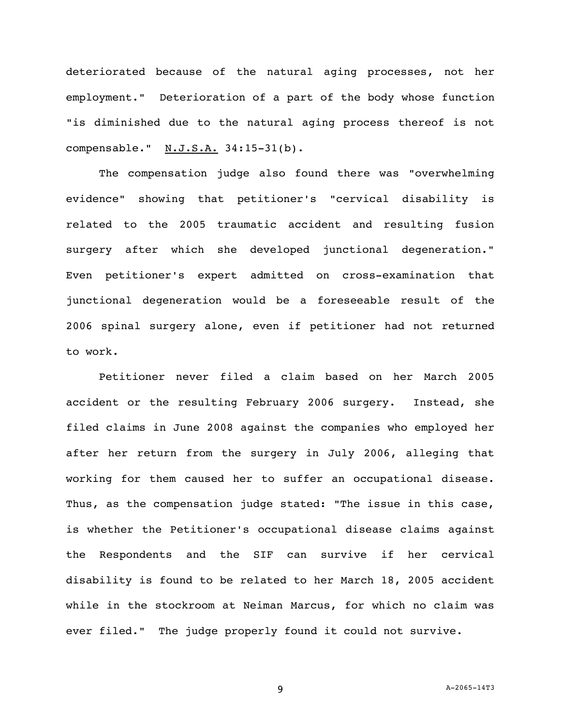deteriorated because of the natural aging processes, not her employment." Deterioration of a part of the body whose function "is diminished due to the natural aging process thereof is not compensable." N.J.S.A. 34:15-31(b).

The compensation judge also found there was "overwhelming evidence" showing that petitioner's "cervical disability is related to the 2005 traumatic accident and resulting fusion surgery after which she developed junctional degeneration." Even petitioner's expert admitted on cross-examination that junctional degeneration would be a foreseeable result of the 2006 spinal surgery alone, even if petitioner had not returned to work.

Petitioner never filed a claim based on her March 2005 accident or the resulting February 2006 surgery. Instead, she filed claims in June 2008 against the companies who employed her after her return from the surgery in July 2006, alleging that working for them caused her to suffer an occupational disease. Thus, as the compensation judge stated: "The issue in this case, is whether the Petitioner's occupational disease claims against the Respondents and the SIF can survive if her cervical disability is found to be related to her March 18, 2005 accident while in the stockroom at Neiman Marcus, for which no claim was ever filed." The judge properly found it could not survive.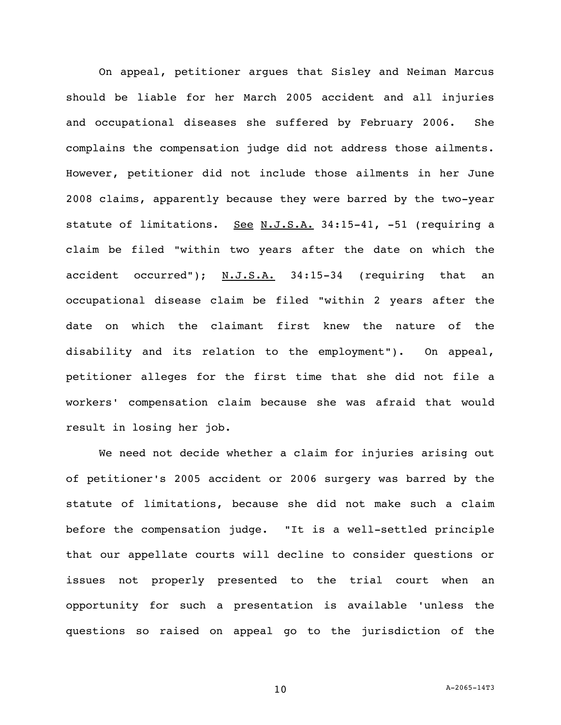On appeal, petitioner argues that Sisley and Neiman Marcus should be liable for her March 2005 accident and all injuries and occupational diseases she suffered by February 2006. She complains the compensation judge did not address those ailments. However, petitioner did not include those ailments in her June 2008 claims, apparently because they were barred by the two-year statute of limitations. See N.J.S.A. 34:15-41, -51 (requiring a claim be filed "within two years after the date on which the accident occurred"); N.J.S.A. 34:15-34 (requiring that an occupational disease claim be filed "within 2 years after the date on which the claimant first knew the nature of the disability and its relation to the employment"). On appeal, petitioner alleges for the first time that she did not file a workers' compensation claim because she was afraid that would result in losing her job.

We need not decide whether a claim for injuries arising out of petitioner's 2005 accident or 2006 surgery was barred by the statute of limitations, because she did not make such a claim before the compensation judge. "It is a well-settled principle that our appellate courts will decline to consider questions or issues not properly presented to the trial court when an opportunity for such a presentation is available 'unless the questions so raised on appeal go to the jurisdiction of the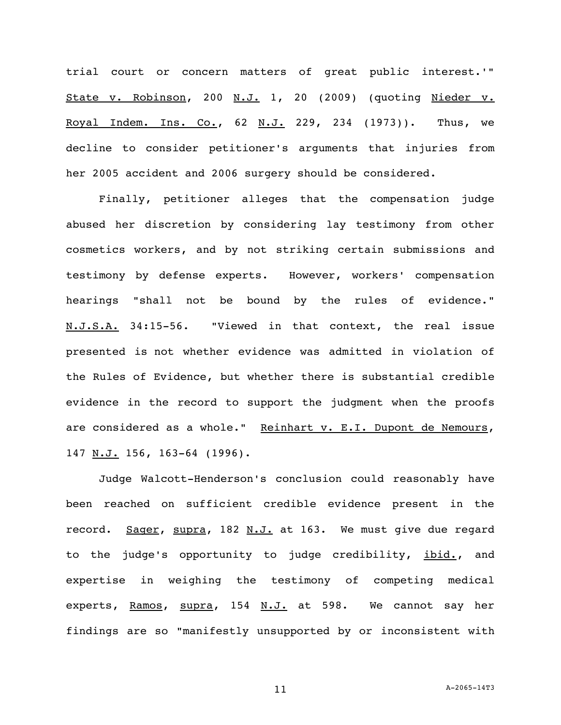trial court or concern matters of great public interest.'" State v. Robinson, 200 N.J. 1, 20 (2009) (quoting Nieder v. Royal Indem. Ins. Co., 62 N.J. 229, 234 (1973)). Thus, we decline to consider petitioner's arguments that injuries from her 2005 accident and 2006 surgery should be considered.

Finally, petitioner alleges that the compensation judge abused her discretion by considering lay testimony from other cosmetics workers, and by not striking certain submissions and testimony by defense experts. However, workers' compensation hearings "shall not be bound by the rules of evidence." N.J.S.A. 34:15-56. "Viewed in that context, the real issue presented is not whether evidence was admitted in violation of the Rules of Evidence, but whether there is substantial credible evidence in the record to support the judgment when the proofs are considered as a whole." Reinhart v. E.I. Dupont de Nemours, 147 N.J. 156, 163-64 (1996).

Judge Walcott-Henderson's conclusion could reasonably have been reached on sufficient credible evidence present in the record. Sager, supra, 182 N.J. at 163. We must give due regard to the judge's opportunity to judge credibility, ibid., and expertise in weighing the testimony of competing medical experts, Ramos, supra, 154 N.J. at 598. We cannot say her findings are so "manifestly unsupported by or inconsistent with